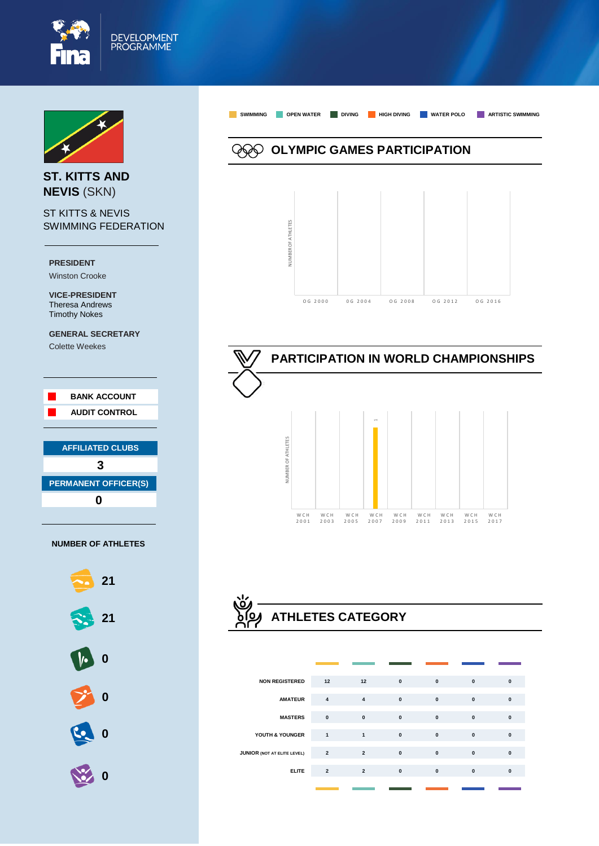



**ST. KITTS AND NEVIS** (SKN)

ST KITTS & NEVIS SWIMMING FEDERATION

**PRESIDENT** Winston Crooke

**VICE-PRESIDENT**  Theresa Andrews Timothy Nokes

**GENERAL SECRETARY**

Colette Weekes





**SWIMMING OPEN WATER DIVING HIGH DIVING WATER POLO ARTISTIC SWIMMING OLYMPIC GAMES PARTICIPATION** NUMBER OF ATHLETES **JUMBER OF ATHLETES** 

O G 2 0 0 0 0 G 2 0 0 4 O G 2 0 0 8 O G 2 0 1 2 O G 2 0 1 6





| <b>NON REGISTERED</b>              | 12             | 12                      | $\mathbf{0}$ | $\mathbf{0}$ | $\mathbf{0}$ | $\mathbf{0}$ |
|------------------------------------|----------------|-------------------------|--------------|--------------|--------------|--------------|
| <b>AMATEUR</b>                     | $\overline{4}$ | $\overline{\mathbf{4}}$ | $\pmb{0}$    | $\mathbf{0}$ | $\mathbf{0}$ | $\mathbf{0}$ |
| <b>MASTERS</b>                     | $\mathbf{0}$   | $\mathbf{0}$            | $\pmb{0}$    | $\mathbf{0}$ | $\mathbf{0}$ | $\bf{0}$     |
| YOUTH & YOUNGER                    | $\mathbf{1}$   | $\mathbf{1}$            | $\mathbf{0}$ | $\mathbf{0}$ | $\mathbf{0}$ | $\mathbf{0}$ |
| <b>JUNIOR (NOT AT ELITE LEVEL)</b> | $\overline{2}$ | $\overline{2}$          | $\mathbf{0}$ | $\mathbf{0}$ | $\mathbf{0}$ | $\mathbf{0}$ |
| <b>ELITE</b>                       | $\overline{2}$ | $\overline{2}$          | $\mathbf{0}$ | $\mathbf{0}$ | $\mathbf{0}$ | $\mathbf{0}$ |
|                                    |                |                         |              |              |              |              |